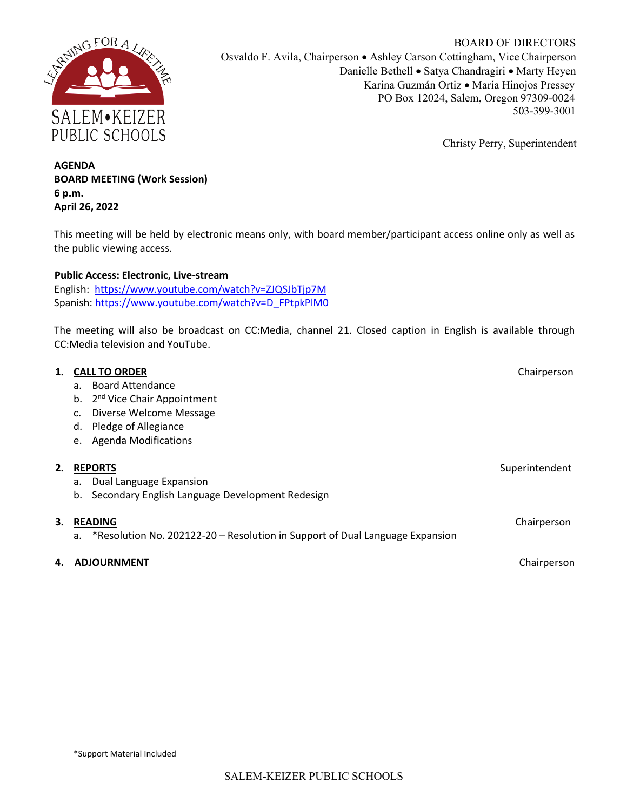

BOARD OF DIRECTORS Osvaldo F. Avila, Chairperson • Ashley Carson Cottingham, Vice Chairperson Danielle Bethell • Satya Chandragiri • Marty Heyen Karina Guzmán Ortiz • María Hinojos Pressey PO Box 12024, Salem, Oregon 97309-0024 503-399-3001

Christy Perry, Superintendent

# **AGENDA BOARD MEETING (Work Session) 6 p.m. April 26, 2022**

This meeting will be held by electronic means only, with board member/participant access online only as well as the public viewing access.

## **Public Access: Electronic, Live-stream**

English: https://www.youtube.com/watch?v=ZJQSJbTjp7M Spanish: https://www.youtube.com/watch?v=D\_FPtpkPlM0

The meeting will also be broadcast on CC:Media, channel 21. Closed caption in English is available through CC:Media television and YouTube.

| 1. | <b>CALL TO ORDER</b>                                                               | Chairperson    |
|----|------------------------------------------------------------------------------------|----------------|
|    | <b>Board Attendance</b><br>a.                                                      |                |
|    | 2 <sup>nd</sup> Vice Chair Appointment<br>b.                                       |                |
|    | Diverse Welcome Message                                                            |                |
|    | Pledge of Allegiance<br>d.                                                         |                |
|    | <b>Agenda Modifications</b><br>e.                                                  |                |
|    |                                                                                    |                |
| 2. | <b>REPORTS</b>                                                                     | Superintendent |
|    | Dual Language Expansion<br>a.                                                      |                |
|    | Secondary English Language Development Redesign<br>b.                              |                |
|    |                                                                                    |                |
| 3. | <b>READING</b>                                                                     | Chairperson    |
|    | *Resolution No. 202122-20 - Resolution in Support of Dual Language Expansion<br>a. |                |
| 4. | <b>ADJOURNMENT</b>                                                                 | Chairperson    |
|    |                                                                                    |                |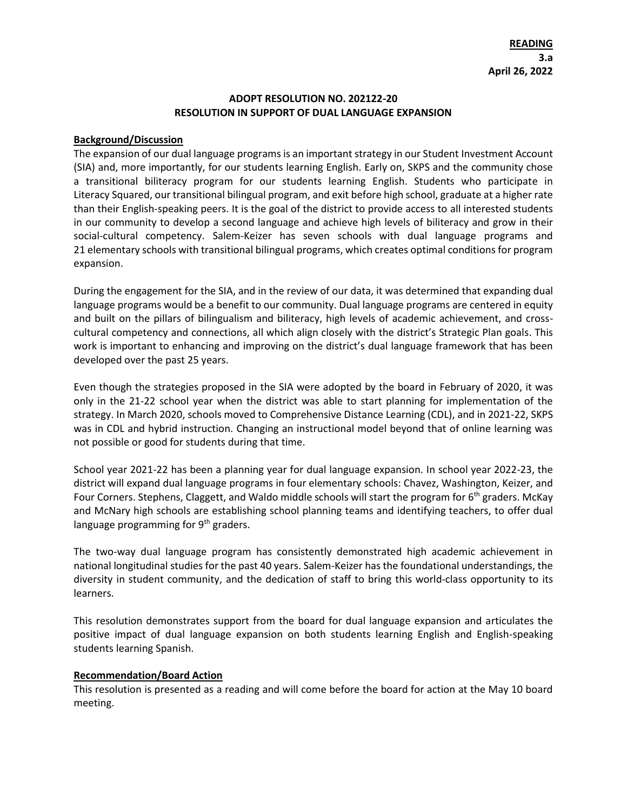### **ADOPT RESOLUTION NO. 202122-20 RESOLUTION IN SUPPORT OF DUAL LANGUAGE EXPANSION**

### **Background/Discussion**

The expansion of our dual language programs is an important strategy in our Student Investment Account (SIA) and, more importantly, for our students learning English. Early on, SKPS and the community chose a transitional biliteracy program for our students learning English. Students who participate in Literacy Squared, our transitional bilingual program, and exit before high school, graduate at a higher rate than their English-speaking peers. It is the goal of the district to provide access to all interested students in our community to develop a second language and achieve high levels of biliteracy and grow in their social-cultural competency. Salem-Keizer has seven schools with dual language programs and 21 elementary schools with transitional bilingual programs, which creates optimal conditions for program expansion.

During the engagement for the SIA, and in the review of our data, it was determined that expanding dual language programs would be a benefit to our community. Dual language programs are centered in equity and built on the pillars of bilingualism and biliteracy, high levels of academic achievement, and crosscultural competency and connections, all which align closely with the district's Strategic Plan goals. This work is important to enhancing and improving on the district's dual language framework that has been developed over the past 25 years.

Even though the strategies proposed in the SIA were adopted by the board in February of 2020, it was only in the 21-22 school year when the district was able to start planning for implementation of the strategy. In March 2020, schools moved to Comprehensive Distance Learning (CDL), and in 2021-22, SKPS was in CDL and hybrid instruction. Changing an instructional model beyond that of online learning was not possible or good for students during that time.

School year 2021-22 has been a planning year for dual language expansion. In school year 2022-23, the district will expand dual language programs in four elementary schools: Chavez, Washington, Keizer, and Four Corners. Stephens, Claggett, and Waldo middle schools will start the program for 6<sup>th</sup> graders. McKay and McNary high schools are establishing school planning teams and identifying teachers, to offer dual language programming for 9<sup>th</sup> graders.

The two-way dual language program has consistently demonstrated high academic achievement in national longitudinal studies for the past 40 years. Salem-Keizer has the foundational understandings, the diversity in student community, and the dedication of staff to bring this world-class opportunity to its learners.

This resolution demonstrates support from the board for dual language expansion and articulates the positive impact of dual language expansion on both students learning English and English-speaking students learning Spanish.

#### **Recommendation/Board Action**

This resolution is presented as a reading and will come before the board for action at the May 10 board meeting.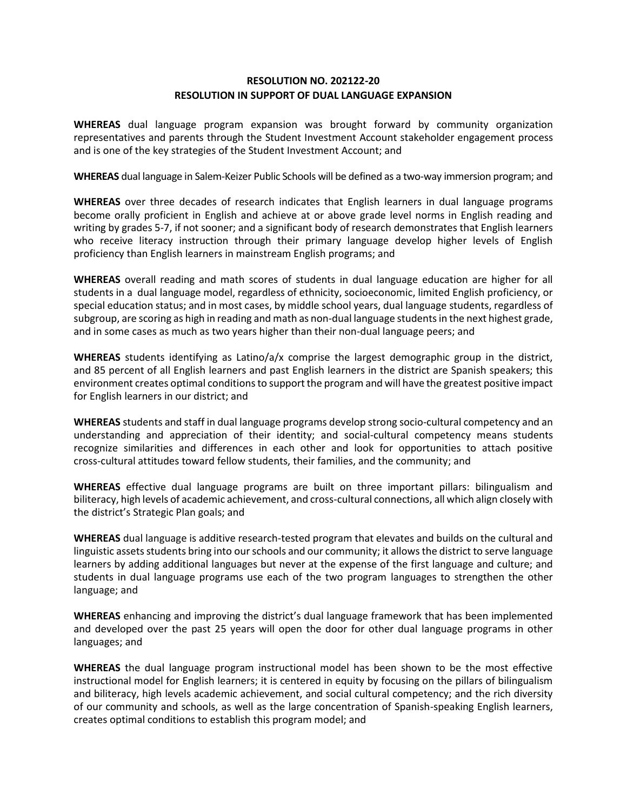### **RESOLUTION NO. 202122-20 RESOLUTION IN SUPPORT OF DUAL LANGUAGE EXPANSION**

**WHEREAS** dual language program expansion was brought forward by community organization representatives and parents through the Student Investment Account stakeholder engagement process and is one of the key strategies of the Student Investment Account; and

**WHEREAS** dual language in Salem-Keizer Public Schools will be defined as a two-way immersion program; and

**WHEREAS** over three decades of research indicates that English learners in dual language programs become orally proficient in English and achieve at or above grade level norms in English reading and writing by grades 5-7, if not sooner; and a significant body of research demonstrates that English learners who receive literacy instruction through their primary language develop higher levels of English proficiency than English learners in mainstream English programs; and

**WHEREAS** overall reading and math scores of students in dual language education are higher for all students in a dual language model, regardless of ethnicity, socioeconomic, limited English proficiency, or special education status; and in most cases, by middle school years, dual language students, regardless of subgroup, are scoring as high in reading and math as non-dual language students in the next highest grade, and in some cases as much as two years higher than their non-dual language peers; and

**WHEREAS** students identifying as Latino/a/x comprise the largest demographic group in the district, and 85 percent of all English learners and past English learners in the district are Spanish speakers; this environment creates optimal conditions to support the program and will have the greatest positive impact for English learners in our district; and

**WHEREAS** students and staff in dual language programs develop strong socio-cultural competency and an understanding and appreciation of their identity; and social-cultural competency means students recognize similarities and differences in each other and look for opportunities to attach positive cross-cultural attitudes toward fellow students, their families, and the community; and

**WHEREAS** effective dual language programs are built on three important pillars: bilingualism and biliteracy, high levels of academic achievement, and cross-cultural connections, all which align closely with the district's Strategic Plan goals; and

**WHEREAS** dual language is additive research-tested program that elevates and builds on the cultural and linguistic assets students bring into our schools and our community; it allows the district to serve language learners by adding additional languages but never at the expense of the first language and culture; and students in dual language programs use each of the two program languages to strengthen the other language; and

**WHEREAS** enhancing and improving the district's dual language framework that has been implemented and developed over the past 25 years will open the door for other dual language programs in other languages; and

**WHEREAS** the dual language program instructional model has been shown to be the most effective instructional model for English learners; it is centered in equity by focusing on the pillars of bilingualism and biliteracy, high levels academic achievement, and social cultural competency; and the rich diversity of our community and schools, as well as the large concentration of Spanish-speaking English learners, creates optimal conditions to establish this program model; and